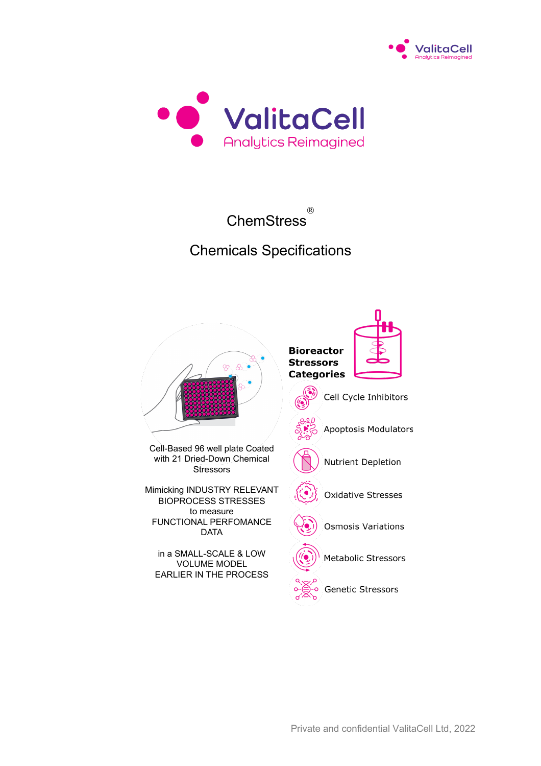



**ChemStress** Ò

# Chemicals Specifications

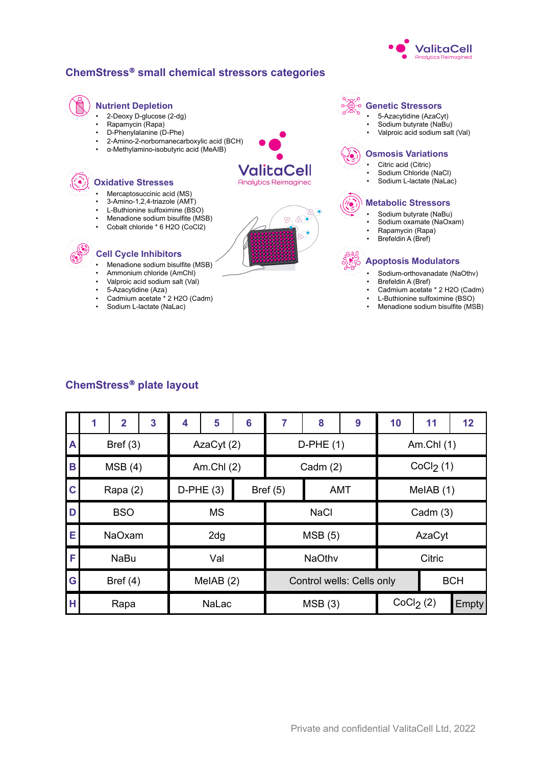

#### **ChemStress**<sup>Ò</sup> **small chemical stressors categories**

# **Nutrient Depletion**

- 2-Deoxy D-glucose (2-dg)
- Rapamycin (Rapa)

**Oxidative Stresses**

• D-Phenylalanine (D-Phe)

Mercaptosuccinic acid (MS) • 3-Amino-1,2,4-triazole (AMT) L-Buthionine sulfoximine (BSO) • Menadione sodium bisulfite (MSB) • Cobalt chloride \* 6 H2O (CoCl2)

• Menadione sodium bisulfite (MSB) • Ammonium chloride (AmChl) • Valproic acid sodium salt (Val)

• Cadmium acetate \* 2 H2O (Cadm)

• 5-Azacytidine (Aza)

**Cell Cycle Inhibitors**

• Sodium L-lactate (NaLac)

- 2-Amino-2-norbornanecarboxylic acid (BCH)
- α-Methylamino-isobutyric acid (MeAIB)

# ValitaCell **Analytics Reimagined**



#### **Genetic Stressors**

- 5-Azacytidine (AzaCyt)
- Sodium butyrate (NaBu)
- Valproic acid sodium salt (Val)

#### **Osmosis Variations**

- Citric acid (Citric)
- Sodium Chloride (NaCl)
- Sodium L-lactate (NaLac)

#### **Metabolic Stressors**

- Sodium butyrate (NaBu)
- Sodium oxamate (NaOxam)
- Rapamycin (Rapa) • Brefeldin A (Bref)
- 

#### **Apoptosis Modulators**

- Sodium-orthovanadate (NaOthv)
- Brefeldin A (Bref)
- Cadmium acetate \* 2 H2O (Cadm)
- L-Buthionine sulfoximine (BSO)
- Menadione sodium bisulfite (MSB)

#### **ChemStress**<sup>Ò</sup> **plate layout**

|              |               | $\overline{2}$ | 3 | 4   | 5            | 6      | 7             | 8                         | 9          | 10     | 11                    | 12 <sub>2</sub> |
|--------------|---------------|----------------|---|-----|--------------|--------|---------------|---------------------------|------------|--------|-----------------------|-----------------|
| $\mathsf{A}$ |               | Bref $(3)$     |   |     | AzaCyt (2)   |        |               | $D-PHE(1)$                |            |        | Am.Chl $(1)$          |                 |
| B            |               | MSB(4)         |   |     | Am.Chl $(2)$ |        |               | Cadm $(2)$                |            |        | CoCl <sub>2</sub> (1) |                 |
| $\mathbf C$  |               | Rapa (2)       |   |     | $D-PHE(3)$   |        | Bref $(5)$    |                           | <b>AMT</b> |        | MeIAB (1)             |                 |
| D            |               | <b>BSO</b>     |   |     | <b>MS</b>    |        |               | <b>NaCl</b>               |            |        | Cadm $(3)$            |                 |
| E            | <b>NaOxam</b> |                |   | 2dg |              | MSB(5) |               |                           | AzaCyt     |        |                       |                 |
| F            | <b>NaBu</b>   |                |   | Val |              |        | <b>NaOthv</b> |                           |            | Citric |                       |                 |
| G            |               | Bref $(4)$     |   |     | MeIAB $(2)$  |        |               | Control wells: Cells only |            |        |                       | <b>BCH</b>      |
| н            |               | Rapa           |   |     | NaLac        |        |               | MSB(3)                    |            |        | CoCl <sub>2</sub> (2) | Empty           |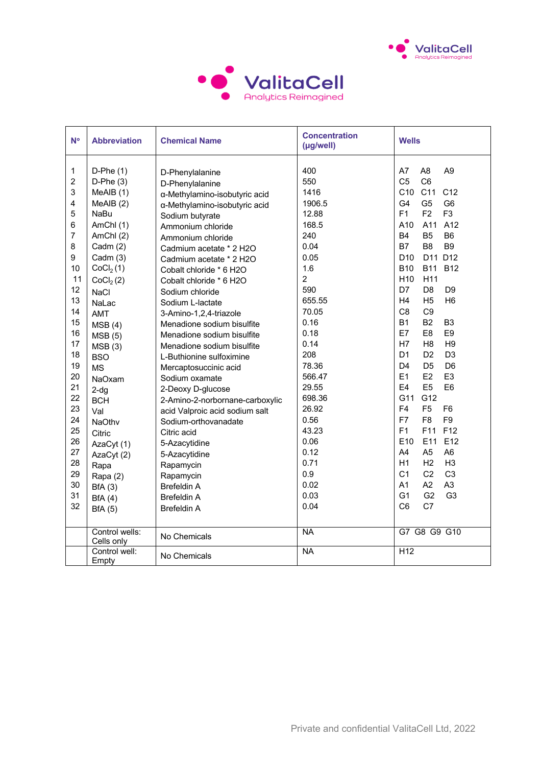



| $N^{\circ}$                                                                                                                                                                                        | <b>Abbreviation</b>                                                                                                                                                                                                                                                                                                                                                 | <b>Chemical Name</b>                                                                                                                                                                                                                                                                                                                                                                                                                                                                                                                                                                                                                                                               | <b>Concentration</b><br>$(\mu g$ /well $)$                                                                                                                                                                                                      | <b>Wells</b>                                                                                                                                                                                                                                                                                                                                                                                                                                                                                                                                                                                                                                                                                                                                                                                                                                                                                                                                                                                                                                                                                                         |
|----------------------------------------------------------------------------------------------------------------------------------------------------------------------------------------------------|---------------------------------------------------------------------------------------------------------------------------------------------------------------------------------------------------------------------------------------------------------------------------------------------------------------------------------------------------------------------|------------------------------------------------------------------------------------------------------------------------------------------------------------------------------------------------------------------------------------------------------------------------------------------------------------------------------------------------------------------------------------------------------------------------------------------------------------------------------------------------------------------------------------------------------------------------------------------------------------------------------------------------------------------------------------|-------------------------------------------------------------------------------------------------------------------------------------------------------------------------------------------------------------------------------------------------|----------------------------------------------------------------------------------------------------------------------------------------------------------------------------------------------------------------------------------------------------------------------------------------------------------------------------------------------------------------------------------------------------------------------------------------------------------------------------------------------------------------------------------------------------------------------------------------------------------------------------------------------------------------------------------------------------------------------------------------------------------------------------------------------------------------------------------------------------------------------------------------------------------------------------------------------------------------------------------------------------------------------------------------------------------------------------------------------------------------------|
| 1<br>$\overline{2}$<br>3<br>$\overline{4}$<br>5<br>6<br>$\overline{7}$<br>8<br>9<br>10<br>11<br>12<br>13<br>14<br>15<br>16<br>17<br>18<br>19<br>20<br>21<br>22<br>23<br>24<br>25<br>26<br>27<br>28 | $D-Phe(1)$<br>$D-Phe(3)$<br>MeAIB (1)<br>MeAlB(2)<br><b>NaBu</b><br>AmChl(1)<br>AmChl(2)<br>Cadm $(2)$<br>Cadm (3)<br>CoCl <sub>2</sub> (1)<br>CoCl <sub>2</sub> (2)<br><b>NaCl</b><br>NaLac<br><b>AMT</b><br>MSB(4)<br>MSB(5)<br>MSB(3)<br><b>BSO</b><br><b>MS</b><br>NaOxam<br>$2-dq$<br><b>BCH</b><br>Val<br><b>NaOthv</b><br>Citric<br>AzaCyt (1)<br>AzaCyt (2) | D-Phenylalanine<br>D-Phenylalanine<br>α-Methylamino-isobutyric acid<br>α-Methylamino-isobutyric acid<br>Sodium butyrate<br>Ammonium chloride<br>Ammonium chloride<br>Cadmium acetate * 2 H2O<br>Cadmium acetate * 2 H2O<br>Cobalt chloride * 6 H2O<br>Cobalt chloride * 6 H2O<br>Sodium chloride<br>Sodium L-lactate<br>3-Amino-1,2,4-triazole<br>Menadione sodium bisulfite<br>Menadione sodium bisulfite<br>Menadione sodium bisulfite<br>L-Buthionine sulfoximine<br>Mercaptosuccinic acid<br>Sodium oxamate<br>2-Deoxy D-glucose<br>2-Amino-2-norbornane-carboxylic<br>acid Valproic acid sodium salt<br>Sodium-orthovanadate<br>Citric acid<br>5-Azacytidine<br>5-Azacytidine | 400<br>550<br>1416<br>1906.5<br>12.88<br>168.5<br>240<br>0.04<br>0.05<br>1.6<br>$\overline{c}$<br>590<br>655.55<br>70.05<br>0.16<br>0.18<br>0.14<br>208<br>78.36<br>566.47<br>29.55<br>698.36<br>26.92<br>0.56<br>43.23<br>0.06<br>0.12<br>0.71 | A7<br>A <sub>8</sub><br>A <sub>9</sub><br>C <sub>5</sub><br>C <sub>6</sub><br>C10<br>C11<br>C <sub>12</sub><br>G4<br>G <sub>5</sub><br>G <sub>6</sub><br>F1<br>F2<br>F <sub>3</sub><br>A10<br>A11<br>A12<br><b>B4</b><br>B <sub>5</sub><br>B <sub>6</sub><br><b>B7</b><br>B <sub>8</sub><br>B <sub>9</sub><br>D11 D12<br>D <sub>10</sub><br><b>B10</b><br><b>B11</b><br><b>B12</b><br>H <sub>10</sub><br>H11<br>D7<br>D <sub>8</sub><br>D <sub>9</sub><br>H4<br>H <sub>6</sub><br>H <sub>5</sub><br>C <sub>8</sub><br>C <sub>9</sub><br><b>B1</b><br>B <sub>2</sub><br>B <sub>3</sub><br>E7<br>E <sub>9</sub><br>E <sub>8</sub><br>H7<br>H <sub>8</sub><br>H <sub>9</sub><br>D <sub>1</sub><br>D <sub>3</sub><br>D <sub>2</sub><br>D4<br>D <sub>5</sub><br>D <sub>6</sub><br>E1<br>E <sub>3</sub><br>E2<br>E4<br>E <sub>5</sub><br>E <sub>6</sub><br>G11<br>G12<br>F <sub>4</sub><br>F <sub>5</sub><br>F <sub>6</sub><br>F7<br>F <sub>8</sub><br>F <sub>9</sub><br>F <sub>1</sub><br>F <sub>12</sub><br>F11<br>E <sub>10</sub><br>E11<br>E12<br>A4<br>A <sub>5</sub><br>A <sub>6</sub><br>H1<br>H3<br>H <sub>2</sub> |
| 29                                                                                                                                                                                                 | Rapa<br>Rapa (2)                                                                                                                                                                                                                                                                                                                                                    | Rapamycin<br>Rapamycin                                                                                                                                                                                                                                                                                                                                                                                                                                                                                                                                                                                                                                                             | 0.9                                                                                                                                                                                                                                             | C <sub>1</sub><br>C <sub>2</sub><br>C <sub>3</sub>                                                                                                                                                                                                                                                                                                                                                                                                                                                                                                                                                                                                                                                                                                                                                                                                                                                                                                                                                                                                                                                                   |
| 30                                                                                                                                                                                                 | BfA(3)                                                                                                                                                                                                                                                                                                                                                              | <b>Brefeldin A</b>                                                                                                                                                                                                                                                                                                                                                                                                                                                                                                                                                                                                                                                                 | 0.02                                                                                                                                                                                                                                            | A1<br>A2<br>A <sub>3</sub>                                                                                                                                                                                                                                                                                                                                                                                                                                                                                                                                                                                                                                                                                                                                                                                                                                                                                                                                                                                                                                                                                           |
| 31                                                                                                                                                                                                 | BfA(4)                                                                                                                                                                                                                                                                                                                                                              | <b>Brefeldin A</b>                                                                                                                                                                                                                                                                                                                                                                                                                                                                                                                                                                                                                                                                 | 0.03                                                                                                                                                                                                                                            | G <sub>1</sub><br>G <sub>2</sub><br>G <sub>3</sub>                                                                                                                                                                                                                                                                                                                                                                                                                                                                                                                                                                                                                                                                                                                                                                                                                                                                                                                                                                                                                                                                   |
| 32                                                                                                                                                                                                 | <b>BfA</b> (5)                                                                                                                                                                                                                                                                                                                                                      | <b>Brefeldin A</b>                                                                                                                                                                                                                                                                                                                                                                                                                                                                                                                                                                                                                                                                 | 0.04                                                                                                                                                                                                                                            | C7<br>C <sub>6</sub>                                                                                                                                                                                                                                                                                                                                                                                                                                                                                                                                                                                                                                                                                                                                                                                                                                                                                                                                                                                                                                                                                                 |
|                                                                                                                                                                                                    | Control wells:<br>Cells only                                                                                                                                                                                                                                                                                                                                        | No Chemicals                                                                                                                                                                                                                                                                                                                                                                                                                                                                                                                                                                                                                                                                       | <b>NA</b>                                                                                                                                                                                                                                       | G7 G8 G9 G10                                                                                                                                                                                                                                                                                                                                                                                                                                                                                                                                                                                                                                                                                                                                                                                                                                                                                                                                                                                                                                                                                                         |
|                                                                                                                                                                                                    | Control well:<br>Empty                                                                                                                                                                                                                                                                                                                                              | No Chemicals                                                                                                                                                                                                                                                                                                                                                                                                                                                                                                                                                                                                                                                                       | <b>NA</b>                                                                                                                                                                                                                                       | H <sub>12</sub>                                                                                                                                                                                                                                                                                                                                                                                                                                                                                                                                                                                                                                                                                                                                                                                                                                                                                                                                                                                                                                                                                                      |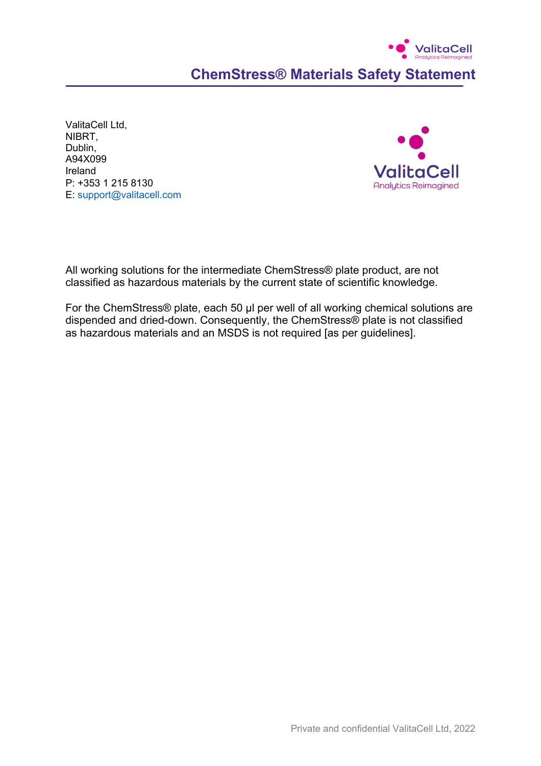# **ValitaCell ChemStress® Materials Safety Statement**

ValitaCell Ltd, NIBRT, Dublin, A94X099 Ireland P: +353 1 215 8130 E: support@valitacell.com



All working solutions for the intermediate ChemStress® plate product, are not classified as hazardous materials by the current state of scientific knowledge.

For the ChemStress® plate, each 50 μl per well of all working chemical solutions are dispended and dried-down. Consequently, the ChemStress® plate is not classified as hazardous materials and an MSDS is not required [as per guidelines].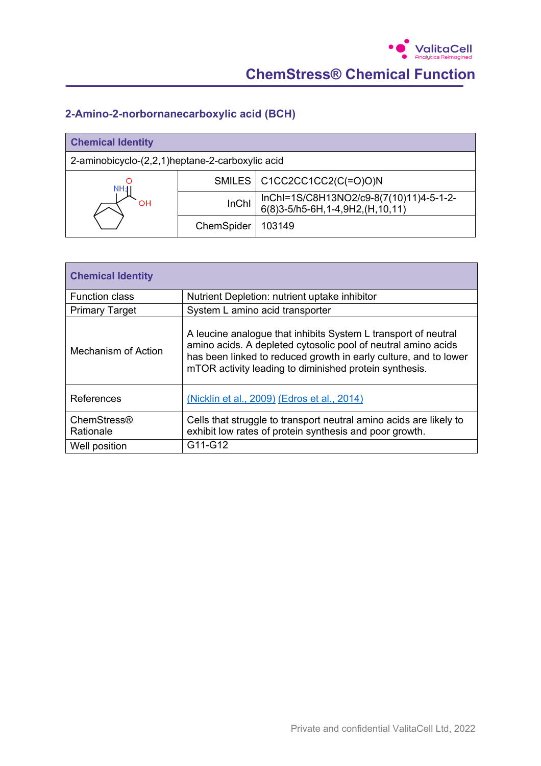### **2-Amino-2-norbornanecarboxylic acid (BCH)**

| <b>Chemical Identity</b>                        |              |                                                                            |  |
|-------------------------------------------------|--------------|----------------------------------------------------------------------------|--|
| 2-aminobicyclo-(2,2,1)heptane-2-carboxylic acid |              |                                                                            |  |
| NH1.                                            |              | SMILES   C1CC2CC1CC2(C(=O)O)N                                              |  |
| OН                                              | <b>InChI</b> | InChI=1S/C8H13NO2/c9-8(7(10)11)4-5-1-2-<br>6(8)3-5/h5-6H,1-4,9H2,(H,10,11) |  |
|                                                 | ChemSpider   | 103149                                                                     |  |

| <b>Chemical Identity</b> |                                                                                                                                                                                                                                                               |  |  |
|--------------------------|---------------------------------------------------------------------------------------------------------------------------------------------------------------------------------------------------------------------------------------------------------------|--|--|
| <b>Function class</b>    | Nutrient Depletion: nutrient uptake inhibitor                                                                                                                                                                                                                 |  |  |
| <b>Primary Target</b>    | System L amino acid transporter                                                                                                                                                                                                                               |  |  |
| Mechanism of Action      | A leucine analogue that inhibits System L transport of neutral<br>amino acids. A depleted cytosolic pool of neutral amino acids<br>has been linked to reduced growth in early culture, and to lower<br>mTOR activity leading to diminished protein synthesis. |  |  |
| References               | (Nicklin et al., 2009) (Edros et al., 2014)                                                                                                                                                                                                                   |  |  |
| ChemStress®<br>Rationale | Cells that struggle to transport neutral amino acids are likely to<br>exhibit low rates of protein synthesis and poor growth.                                                                                                                                 |  |  |
| Well position            | G11-G12                                                                                                                                                                                                                                                       |  |  |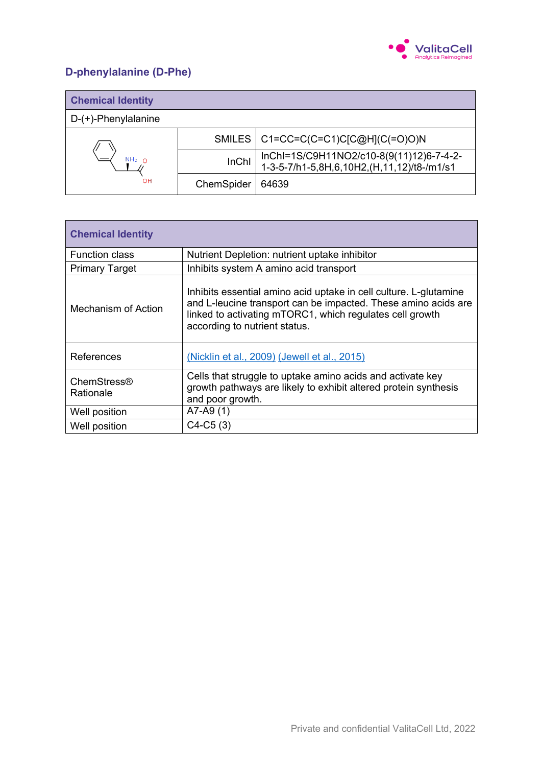

# **D-phenylalanine (D-Phe)**

| <b>Chemical Identity</b> |              |                                                                                        |
|--------------------------|--------------|----------------------------------------------------------------------------------------|
| $D-(+)$ -Phenylalanine   |              |                                                                                        |
|                          |              | SMILES   C1=CC=C(C=C1)C[C@H](C(=O)O)N                                                  |
| NH <sub>2</sub>          | <b>InChI</b> | InChI=1S/C9H11NO2/c10-8(9(11)12)6-7-4-2-<br>1-3-5-7/h1-5,8H,6,10H2,(H,11,12)/t8-/m1/s1 |
| OН                       | ChemSpider   | 64639                                                                                  |

| <b>Chemical Identity</b> |                                                                                                                                                                                                                                  |
|--------------------------|----------------------------------------------------------------------------------------------------------------------------------------------------------------------------------------------------------------------------------|
| <b>Function class</b>    | Nutrient Depletion: nutrient uptake inhibitor                                                                                                                                                                                    |
| <b>Primary Target</b>    | Inhibits system A amino acid transport                                                                                                                                                                                           |
| Mechanism of Action      | Inhibits essential amino acid uptake in cell culture. L-glutamine<br>and L-leucine transport can be impacted. These amino acids are<br>linked to activating mTORC1, which regulates cell growth<br>according to nutrient status. |
| References               | (Nicklin et al., 2009) (Jewell et al., 2015)                                                                                                                                                                                     |
| ChemStress®<br>Rationale | Cells that struggle to uptake amino acids and activate key<br>growth pathways are likely to exhibit altered protein synthesis<br>and poor growth.                                                                                |
| Well position            | $A7-A9(1)$                                                                                                                                                                                                                       |
| Well position            | $C4-C5(3)$                                                                                                                                                                                                                       |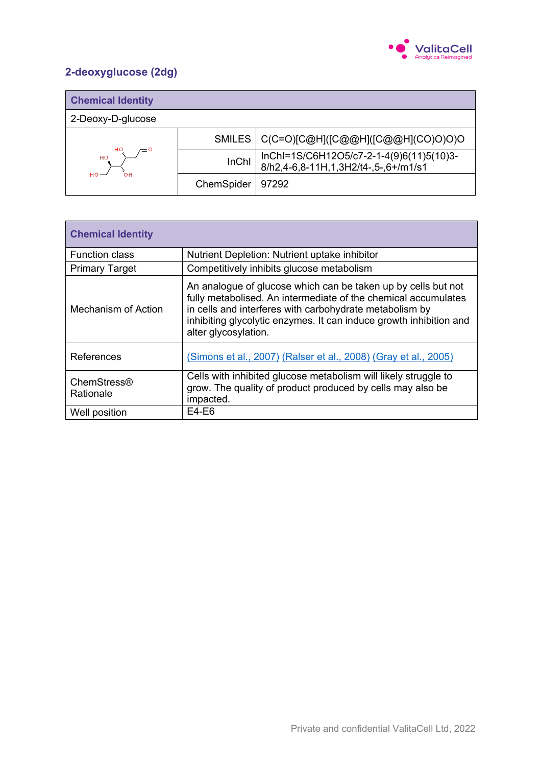

# **2-deoxyglucose (2dg)**

| <b>Chemical Identity</b> |               |                                                                                  |
|--------------------------|---------------|----------------------------------------------------------------------------------|
| 2-Deoxy-D-glucose        |               |                                                                                  |
|                          | <b>SMILES</b> | C(C=O)[C@H]([C@@H]([C@@H](CO)O)O)O                                               |
| HO<br>$=$ $\circ$<br>HO  | <b>InChI</b>  | InChI=1S/C6H12O5/c7-2-1-4(9)6(11)5(10)3-<br>8/h2,4-6,8-11H,1,3H2/t4-,5-,6+/m1/s1 |
| HO                       | ChemSpider    | 97292                                                                            |

| <b>Chemical Identity</b> |                                                                                                                                                                                                                                                                                          |  |  |  |
|--------------------------|------------------------------------------------------------------------------------------------------------------------------------------------------------------------------------------------------------------------------------------------------------------------------------------|--|--|--|
| <b>Function class</b>    | Nutrient Depletion: Nutrient uptake inhibitor                                                                                                                                                                                                                                            |  |  |  |
| <b>Primary Target</b>    | Competitively inhibits glucose metabolism                                                                                                                                                                                                                                                |  |  |  |
| Mechanism of Action      | An analogue of glucose which can be taken up by cells but not<br>fully metabolised. An intermediate of the chemical accumulates<br>in cells and interferes with carbohydrate metabolism by<br>inhibiting glycolytic enzymes. It can induce growth inhibition and<br>alter glycosylation. |  |  |  |
| References               | (Simons et al., 2007) (Ralser et al., 2008) (Gray et al., 2005)                                                                                                                                                                                                                          |  |  |  |
| ChemStress®<br>Rationale | Cells with inhibited glucose metabolism will likely struggle to<br>grow. The quality of product produced by cells may also be<br>impacted.                                                                                                                                               |  |  |  |
| Well position            | $E4-E6$                                                                                                                                                                                                                                                                                  |  |  |  |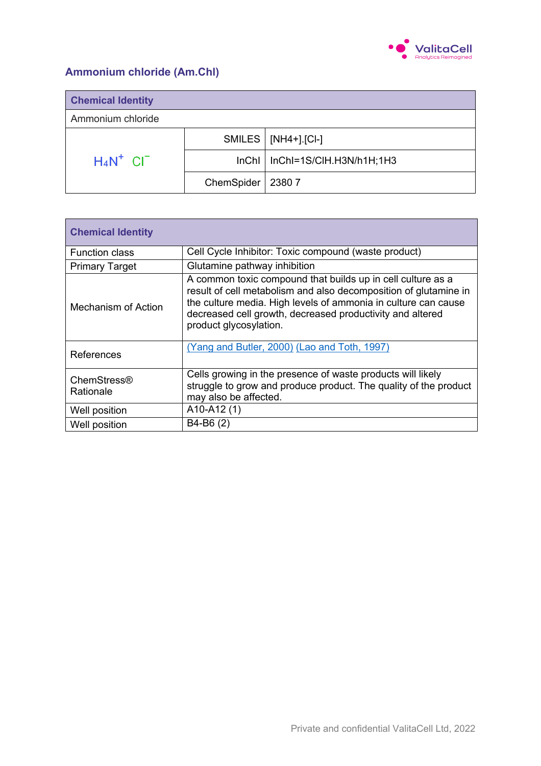

### **Ammonium chloride (Am.Chl)**

| <b>Chemical Identity</b> |                     |                                    |  |  |
|--------------------------|---------------------|------------------------------------|--|--|
| Ammonium chloride        |                     |                                    |  |  |
|                          |                     | $SMILES   [NH4+]$ [Cl-]            |  |  |
| $H_4N^+$ CI <sup>-</sup> |                     | $InChI$   InChI=1S/CIH.H3N/h1H;1H3 |  |  |
|                          | ChemSpider   2380 7 |                                    |  |  |

| <b>Chemical Identity</b> |                                                                                                                                                                                                                                                                                          |  |  |
|--------------------------|------------------------------------------------------------------------------------------------------------------------------------------------------------------------------------------------------------------------------------------------------------------------------------------|--|--|
| <b>Function class</b>    | Cell Cycle Inhibitor: Toxic compound (waste product)                                                                                                                                                                                                                                     |  |  |
| <b>Primary Target</b>    | Glutamine pathway inhibition                                                                                                                                                                                                                                                             |  |  |
| Mechanism of Action      | A common toxic compound that builds up in cell culture as a<br>result of cell metabolism and also decomposition of glutamine in<br>the culture media. High levels of ammonia in culture can cause<br>decreased cell growth, decreased productivity and altered<br>product glycosylation. |  |  |
| References               | (Yang and Butler, 2000) (Lao and Toth, 1997)                                                                                                                                                                                                                                             |  |  |
| ChemStress®<br>Rationale | Cells growing in the presence of waste products will likely<br>struggle to grow and produce product. The quality of the product<br>may also be affected.                                                                                                                                 |  |  |
| Well position            | $A10-A12(1)$                                                                                                                                                                                                                                                                             |  |  |
| Well position            | B4-B6 (2)                                                                                                                                                                                                                                                                                |  |  |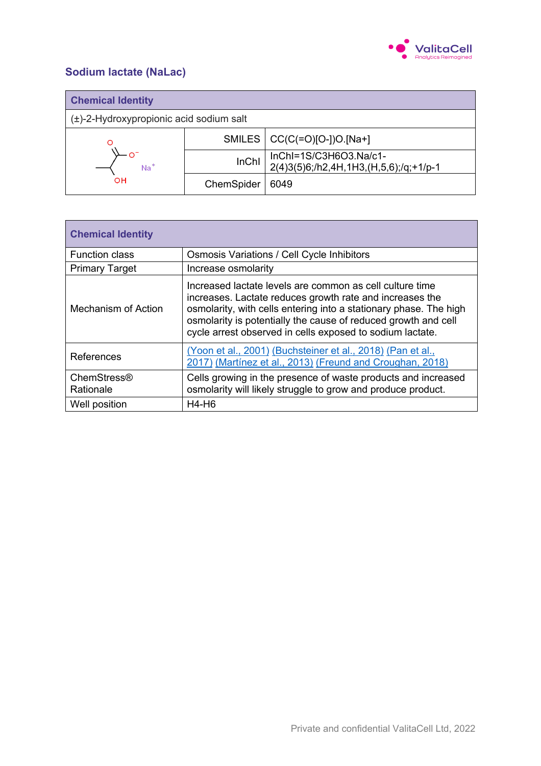

### **Sodium lactate (NaLac)**

| <b>Chemical Identity</b>                     |              |                                                                  |  |
|----------------------------------------------|--------------|------------------------------------------------------------------|--|
| $(\pm)$ -2-Hydroxypropionic acid sodium salt |              |                                                                  |  |
|                                              |              | SMILES   CC(C(=O)[O-])O.[Na+]                                    |  |
| $Na+$                                        | <b>InChI</b> | InChl=1S/C3H6O3.Na/c1-<br>2(4)3(5)6;/h2,4H,1H3,(H,5,6);/q;+1/p-1 |  |
| <b>OH</b>                                    | ChemSpider   | 6049                                                             |  |

| <b>Chemical Identity</b>        |                                                                                                                                                                                                                                                                                                                          |  |  |  |
|---------------------------------|--------------------------------------------------------------------------------------------------------------------------------------------------------------------------------------------------------------------------------------------------------------------------------------------------------------------------|--|--|--|
| <b>Function class</b>           | Osmosis Variations / Cell Cycle Inhibitors                                                                                                                                                                                                                                                                               |  |  |  |
| <b>Primary Target</b>           | Increase osmolarity                                                                                                                                                                                                                                                                                                      |  |  |  |
| Mechanism of Action             | Increased lactate levels are common as cell culture time<br>increases. Lactate reduces growth rate and increases the<br>osmolarity, with cells entering into a stationary phase. The high<br>osmolarity is potentially the cause of reduced growth and cell<br>cycle arrest observed in cells exposed to sodium lactate. |  |  |  |
| References                      | (Yoon et al., 2001) (Buchsteiner et al., 2018) (Pan et al.,<br>2017) (Martínez et al., 2013) (Freund and Croughan, 2018)                                                                                                                                                                                                 |  |  |  |
| <b>ChemStress®</b><br>Rationale | Cells growing in the presence of waste products and increased<br>osmolarity will likely struggle to grow and produce product.                                                                                                                                                                                            |  |  |  |
| Well position                   | $H4-H6$                                                                                                                                                                                                                                                                                                                  |  |  |  |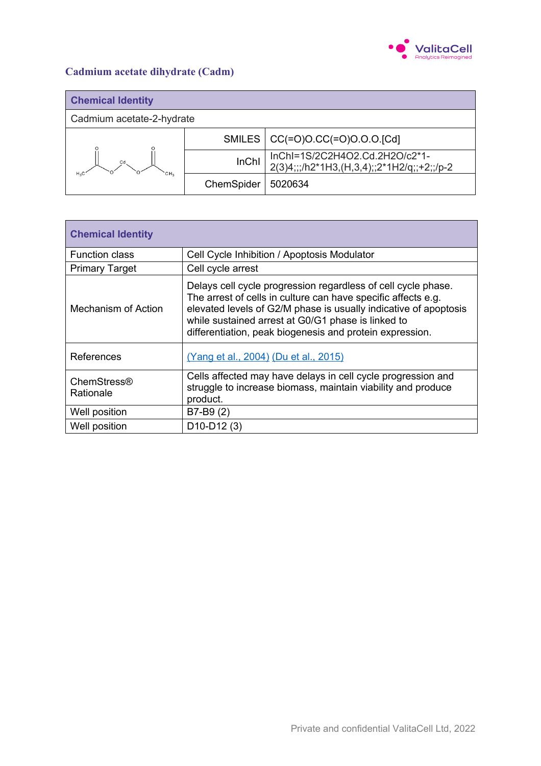

# **Cadmium acetate dihydrate (Cadm)**

| <b>Chemical Identity</b>        |              |                                                                              |
|---------------------------------|--------------|------------------------------------------------------------------------------|
| Cadmium acetate-2-hydrate       |              |                                                                              |
| Cd<br>CH <sub>2</sub><br>$H_2C$ |              | SMILES   CC(=O)O.CC(=O)O.O.O.[Cd]                                            |
|                                 | <b>InChI</b> | InChI=1S/2C2H4O2.Cd.2H2O/c2*1-<br>2(3)4;;;/h2*1H3,(H,3,4);;2*1H2/q;;+2;;/p-2 |
|                                 | ChemSpider   | 5020634                                                                      |

| <b>Chemical Identity</b> |                                                                                                                                                                                                                                                                                                                      |
|--------------------------|----------------------------------------------------------------------------------------------------------------------------------------------------------------------------------------------------------------------------------------------------------------------------------------------------------------------|
| <b>Function class</b>    | Cell Cycle Inhibition / Apoptosis Modulator                                                                                                                                                                                                                                                                          |
| <b>Primary Target</b>    | Cell cycle arrest                                                                                                                                                                                                                                                                                                    |
| Mechanism of Action      | Delays cell cycle progression regardless of cell cycle phase.<br>The arrest of cells in culture can have specific affects e.g.<br>elevated levels of G2/M phase is usually indicative of apoptosis<br>while sustained arrest at G0/G1 phase is linked to<br>differentiation, peak biogenesis and protein expression. |
| References               | (Yang et al., 2004) (Du et al., 2015)                                                                                                                                                                                                                                                                                |
| ChemStress®<br>Rationale | Cells affected may have delays in cell cycle progression and<br>struggle to increase biomass, maintain viability and produce<br>product.                                                                                                                                                                             |
| Well position            | $B7-B9(2)$                                                                                                                                                                                                                                                                                                           |
| Well position            | $D10-D12(3)$                                                                                                                                                                                                                                                                                                         |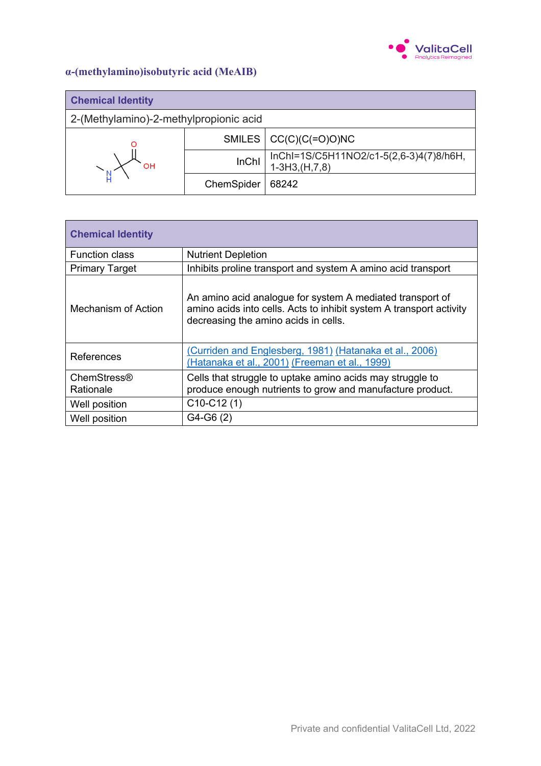

### **α-(methylamino)isobutyric acid (MeAIB)**

| <b>Chemical Identity</b>               |            |                                                            |
|----------------------------------------|------------|------------------------------------------------------------|
| 2-(Methylamino)-2-methylpropionic acid |            |                                                            |
| OH                                     |            | SMILES $\vert$ CC(C)(C(=O)O)NC                             |
|                                        | InChI      | InChI=1S/C5H11NO2/c1-5(2,6-3)4(7)8/h6H,<br>$1-3H3,(H,7,8)$ |
|                                        | ChemSpider | 68242                                                      |

| <b>Chemical Identity</b> |                                                                                                                                                                          |
|--------------------------|--------------------------------------------------------------------------------------------------------------------------------------------------------------------------|
| <b>Function class</b>    | <b>Nutrient Depletion</b>                                                                                                                                                |
| <b>Primary Target</b>    | Inhibits proline transport and system A amino acid transport                                                                                                             |
| Mechanism of Action      | An amino acid analogue for system A mediated transport of<br>amino acids into cells. Acts to inhibit system A transport activity<br>decreasing the amino acids in cells. |
| References               | (Curriden and Englesberg, 1981) (Hatanaka et al., 2006)<br>(Hatanaka et al., 2001) (Freeman et al., 1999)                                                                |
| ChemStress®<br>Rationale | Cells that struggle to uptake amino acids may struggle to<br>produce enough nutrients to grow and manufacture product.                                                   |
| Well position            | $C10-C12(1)$                                                                                                                                                             |
| Well position            | $G4-G6(2)$                                                                                                                                                               |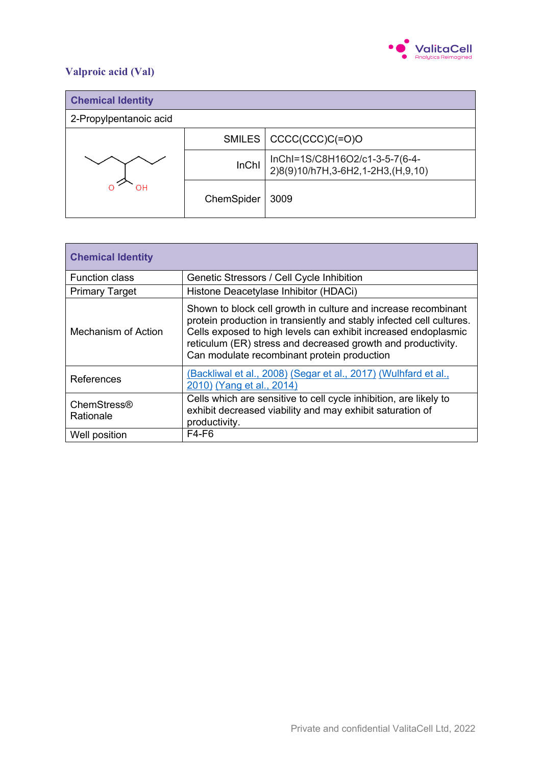

# **Valproic acid (Val)**

| <b>Chemical Identity</b> |            |                                                                     |
|--------------------------|------------|---------------------------------------------------------------------|
| 2-Propylpentanoic acid   |            |                                                                     |
| ⊣ר                       |            | SMILES   CCCC(CCC)C(=O)O                                            |
|                          | InChl      | InChI=1S/C8H16O2/c1-3-5-7(6-4-<br>2)8(9)10/h7H,3-6H2,1-2H3,(H,9,10) |
|                          | ChemSpider | 3009                                                                |

| <b>Chemical Identity</b> |                                                                                                                                                                                                                                                                                                                         |
|--------------------------|-------------------------------------------------------------------------------------------------------------------------------------------------------------------------------------------------------------------------------------------------------------------------------------------------------------------------|
| <b>Function class</b>    | Genetic Stressors / Cell Cycle Inhibition                                                                                                                                                                                                                                                                               |
| <b>Primary Target</b>    | Histone Deacetylase Inhibitor (HDACi)                                                                                                                                                                                                                                                                                   |
| Mechanism of Action      | Shown to block cell growth in culture and increase recombinant<br>protein production in transiently and stably infected cell cultures.<br>Cells exposed to high levels can exhibit increased endoplasmic<br>reticulum (ER) stress and decreased growth and productivity.<br>Can modulate recombinant protein production |
| References               | (Backliwal et al., 2008) (Segar et al., 2017) (Wulhfard et al.,<br>2010) (Yang et al., 2014)                                                                                                                                                                                                                            |
| ChemStress®<br>Rationale | Cells which are sensitive to cell cycle inhibition, are likely to<br>exhibit decreased viability and may exhibit saturation of<br>productivity.                                                                                                                                                                         |
| Well position            | $F4-F6$                                                                                                                                                                                                                                                                                                                 |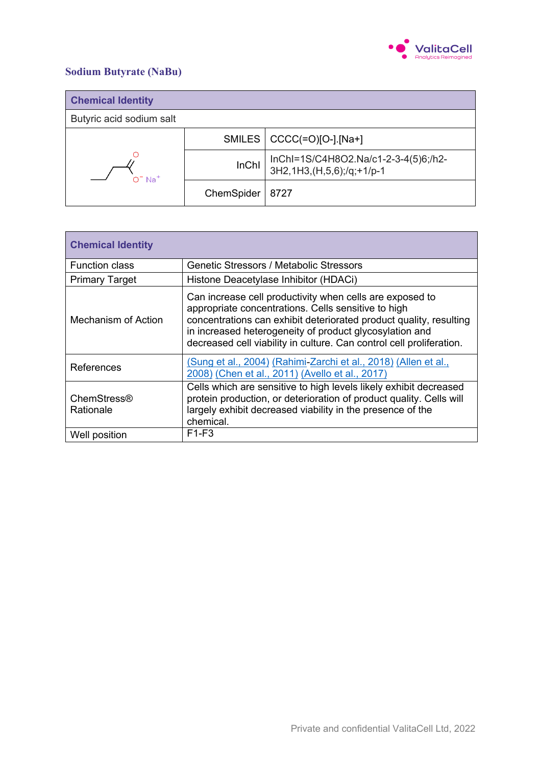

#### **Sodium Butyrate (NaBu)**

| <b>Chemical Identity</b> |              |                                                                   |
|--------------------------|--------------|-------------------------------------------------------------------|
| Butyric acid sodium salt |              |                                                                   |
| $O- Na+$                 |              | SMILES $ $ CCCC(=O)[O-] [Na+]                                     |
|                          | <b>InChI</b> | InChl=1S/C4H8O2.Na/c1-2-3-4(5)6;/h2-<br>3H2,1H3,(H,5,6);/q;+1/p-1 |
|                          | ChemSpider   | 8727                                                              |

| <b>Chemical Identity</b>        |                                                                                                                                                                                                                                                                                                                          |
|---------------------------------|--------------------------------------------------------------------------------------------------------------------------------------------------------------------------------------------------------------------------------------------------------------------------------------------------------------------------|
| <b>Function class</b>           | <b>Genetic Stressors / Metabolic Stressors</b>                                                                                                                                                                                                                                                                           |
| <b>Primary Target</b>           | Histone Deacetylase Inhibitor (HDACi)                                                                                                                                                                                                                                                                                    |
| Mechanism of Action             | Can increase cell productivity when cells are exposed to<br>appropriate concentrations. Cells sensitive to high<br>concentrations can exhibit deteriorated product quality, resulting<br>in increased heterogeneity of product glycosylation and<br>decreased cell viability in culture. Can control cell proliferation. |
| References                      | (Sung et al., 2004) (Rahimi-Zarchi et al., 2018) (Allen et al.,<br>2008) (Chen et al., 2011) (Avello et al., 2017)                                                                                                                                                                                                       |
| <b>ChemStress®</b><br>Rationale | Cells which are sensitive to high levels likely exhibit decreased<br>protein production, or deterioration of product quality. Cells will<br>largely exhibit decreased viability in the presence of the<br>chemical.                                                                                                      |
| Well position                   | $F1-F3$                                                                                                                                                                                                                                                                                                                  |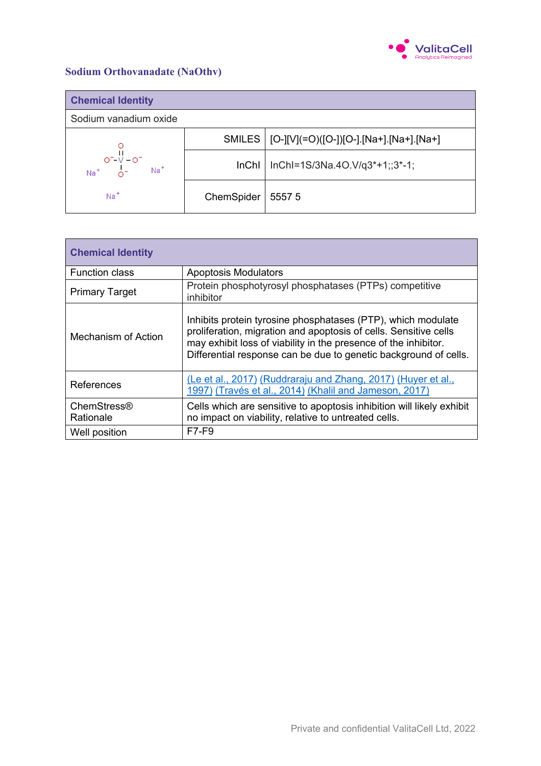

#### **Sodium Orthovanadate (NaOthv)**

| <b>Chemical Identity</b>                      |            |                                                  |
|-----------------------------------------------|------------|--------------------------------------------------|
| Sodium vanadium oxide                         |            |                                                  |
|                                               |            | SMILES   [O-][V](=O)([O-])[O-].[Na+].[Na+].[Na+] |
| $O^{-1}$<br>Na <sup>+</sup> $O^{-1}$<br>$Na+$ | InChI      | InChl=1S/3Na.4O.V/q3*+1;;3*-1;                   |
| $Na+$                                         | ChemSpider | 55575                                            |

| <b>Chemical Identity</b> |                                                                                                                                                                                                                                                                         |
|--------------------------|-------------------------------------------------------------------------------------------------------------------------------------------------------------------------------------------------------------------------------------------------------------------------|
| <b>Function class</b>    | <b>Apoptosis Modulators</b>                                                                                                                                                                                                                                             |
| <b>Primary Target</b>    | Protein phosphotyrosyl phosphatases (PTPs) competitive<br>inhibitor                                                                                                                                                                                                     |
| Mechanism of Action      | Inhibits protein tyrosine phosphatases (PTP), which modulate<br>proliferation, migration and apoptosis of cells. Sensitive cells<br>may exhibit loss of viability in the presence of the inhibitor.<br>Differential response can be due to genetic background of cells. |
| References               | (Le et al., 2017) (Ruddraraju and Zhang, 2017) (Huyer et al.,<br>1997) (Través et al., 2014) (Khalil and Jameson, 2017)                                                                                                                                                 |
| ChemStress®<br>Rationale | Cells which are sensitive to apoptosis inhibition will likely exhibit<br>no impact on viability, relative to untreated cells.                                                                                                                                           |
| Well position            | F7-F9                                                                                                                                                                                                                                                                   |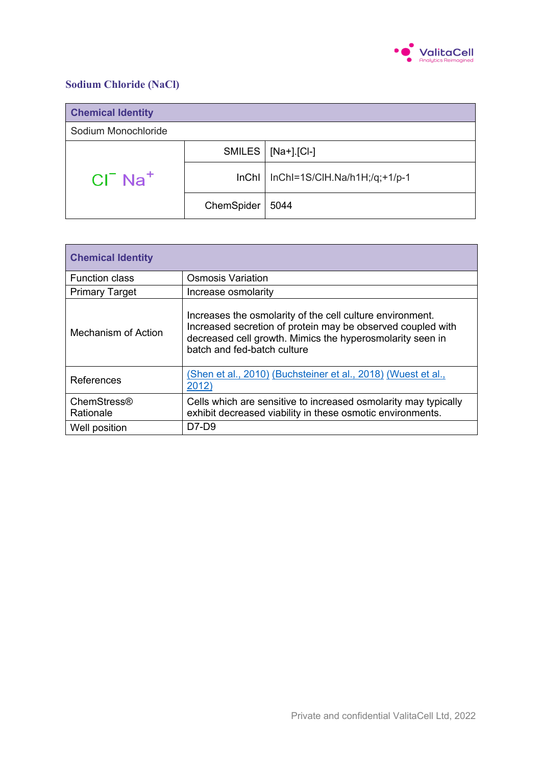

#### **Sodium Chloride (NaCl)**

| <b>Chemical Identity</b> |            |                               |
|--------------------------|------------|-------------------------------|
| Sodium Monochloride      |            |                               |
|                          | SMILES     | [Na+].[Cl-]                   |
| $CI- Na+$                | lnChI      | InChl=1S/ClH.Na/h1H;/q;+1/p-1 |
|                          | ChemSpider | 5044                          |

| <b>Chemical Identity</b>        |                                                                                                                                                                                                                      |
|---------------------------------|----------------------------------------------------------------------------------------------------------------------------------------------------------------------------------------------------------------------|
| <b>Function class</b>           | <b>Osmosis Variation</b>                                                                                                                                                                                             |
| <b>Primary Target</b>           | Increase osmolarity                                                                                                                                                                                                  |
| Mechanism of Action             | Increases the osmolarity of the cell culture environment.<br>Increased secretion of protein may be observed coupled with<br>decreased cell growth. Mimics the hyperosmolarity seen in<br>batch and fed-batch culture |
| References                      | (Shen et al., 2010) (Buchsteiner et al., 2018) (Wuest et al.,<br>2012)                                                                                                                                               |
| <b>ChemStress®</b><br>Rationale | Cells which are sensitive to increased osmolarity may typically<br>exhibit decreased viability in these osmotic environments.                                                                                        |
| Well position                   | $D7-D9$                                                                                                                                                                                                              |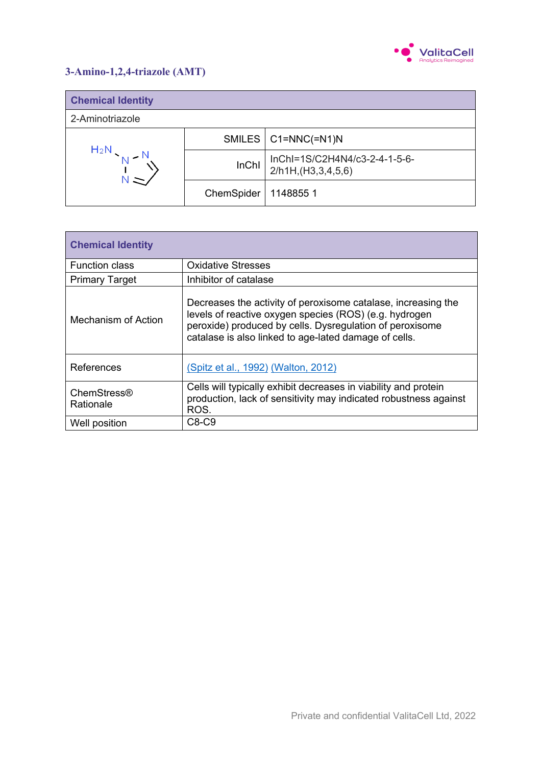

### **3-Amino-1,2,4-triazole (AMT)**

| <b>Chemical Identity</b> |            |                                                     |
|--------------------------|------------|-----------------------------------------------------|
| 2-Aminotriazole          |            |                                                     |
| $H_2N$                   |            | SMILES   C1=NNC(=N1)N                               |
|                          | InChl      | InChI=1S/C2H4N4/c3-2-4-1-5-6-<br>2/h1H,(H3,3,4,5,6) |
|                          | ChemSpider | 11488551                                            |

| <b>Chemical Identity</b> |                                                                                                                                                                                                                                              |
|--------------------------|----------------------------------------------------------------------------------------------------------------------------------------------------------------------------------------------------------------------------------------------|
| <b>Function class</b>    | <b>Oxidative Stresses</b>                                                                                                                                                                                                                    |
| <b>Primary Target</b>    | Inhibitor of catalase                                                                                                                                                                                                                        |
| Mechanism of Action      | Decreases the activity of peroxisome catalase, increasing the<br>levels of reactive oxygen species (ROS) (e.g. hydrogen<br>peroxide) produced by cells. Dysregulation of peroxisome<br>catalase is also linked to age-lated damage of cells. |
| References               | (Spitz et al., 1992) (Walton, 2012)                                                                                                                                                                                                          |
| ChemStress®<br>Rationale | Cells will typically exhibit decreases in viability and protein<br>production, lack of sensitivity may indicated robustness against<br>ROS.                                                                                                  |
| Well position            | $C8-C9$                                                                                                                                                                                                                                      |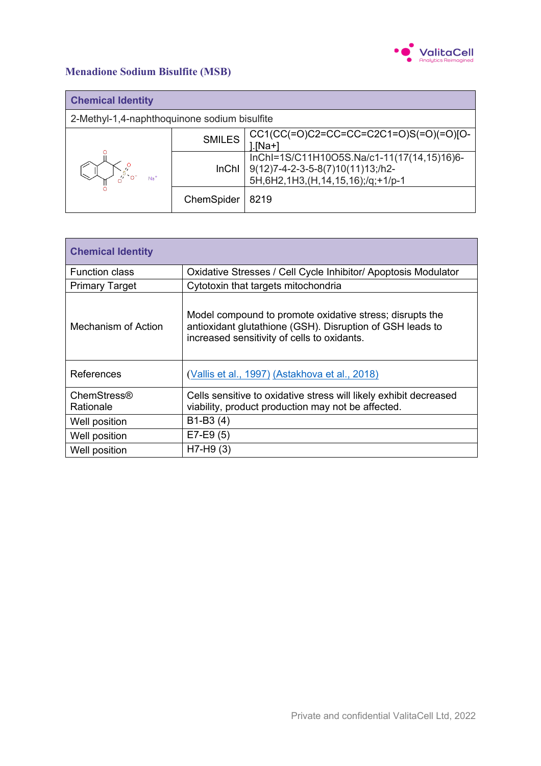

# **Menadione Sodium Bisulfite (MSB)**

| <b>Chemical Identity</b>                     |               |                                                                                                                            |
|----------------------------------------------|---------------|----------------------------------------------------------------------------------------------------------------------------|
| 2-Methyl-1,4-naphthoquinone sodium bisulfite |               |                                                                                                                            |
|                                              | <b>SMILES</b> | CC1(CC(=O)C2=CC=CC=C2C1=O)S(=O)(=O)[O-<br>l.[Na+]                                                                          |
| $Na+$                                        | <b>InChI</b>  | InChI=1S/C11H10O5S.Na/c1-11(17(14,15)16)6-<br>9(12)7-4-2-3-5-8(7)10(11)13;/h2-<br>5H, 6H2, 1H3, (H, 14, 15, 16);/q; +1/p-1 |
|                                              | ChemSpider    | 8219                                                                                                                       |

| <b>Chemical Identity</b>        |                                                                                                                                                                      |
|---------------------------------|----------------------------------------------------------------------------------------------------------------------------------------------------------------------|
| <b>Function class</b>           | Oxidative Stresses / Cell Cycle Inhibitor/ Apoptosis Modulator                                                                                                       |
| <b>Primary Target</b>           | Cytotoxin that targets mitochondria                                                                                                                                  |
| Mechanism of Action             | Model compound to promote oxidative stress; disrupts the<br>antioxidant glutathione (GSH). Disruption of GSH leads to<br>increased sensitivity of cells to oxidants. |
| References                      | (Vallis et al., 1997) (Astakhova et al., 2018)                                                                                                                       |
| <b>ChemStress®</b><br>Rationale | Cells sensitive to oxidative stress will likely exhibit decreased<br>viability, product production may not be affected.                                              |
| Well position                   | $B1-B3(4)$                                                                                                                                                           |
| Well position                   | $E7-E9(5)$                                                                                                                                                           |
| Well position                   | $H7-H9(3)$                                                                                                                                                           |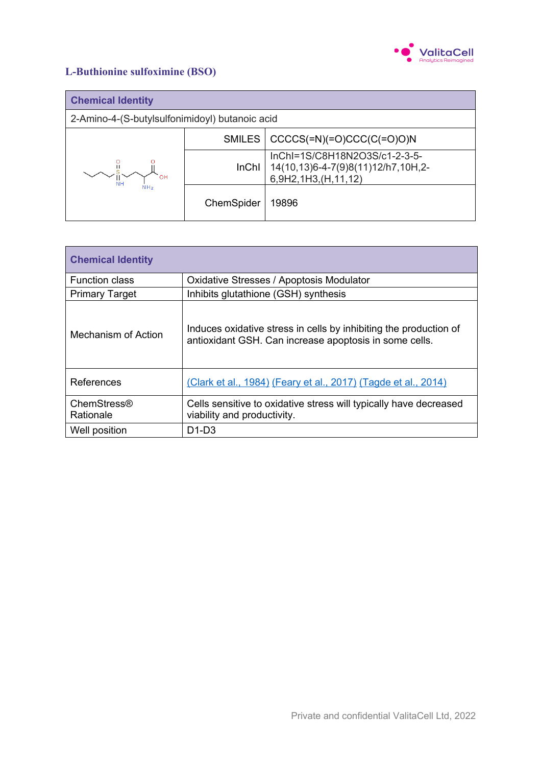

# **L-Buthionine sulfoximine (BSO)**

| <b>Chemical Identity</b>                       |               |                                                                                            |
|------------------------------------------------|---------------|--------------------------------------------------------------------------------------------|
| 2-Amino-4-(S-butylsulfonimidoyl) butanoic acid |               |                                                                                            |
|                                                | <b>SMILES</b> | $CCCCS(=N)(=O)CCC(C(=O)ON)$                                                                |
|                                                | <b>InChI</b>  | InChI=1S/C8H18N2O3S/c1-2-3-5-<br>14(10,13)6-4-7(9)8(11)12/h7,10H,2-<br>6,9H2,1H3,(H,11,12) |
|                                                | ChemSpider    | 19896                                                                                      |

| <b>Chemical Identity</b>   |                                                                                                                             |
|----------------------------|-----------------------------------------------------------------------------------------------------------------------------|
| <b>Function class</b>      | Oxidative Stresses / Apoptosis Modulator                                                                                    |
| <b>Primary Target</b>      | Inhibits glutathione (GSH) synthesis                                                                                        |
| <b>Mechanism of Action</b> | Induces oxidative stress in cells by inhibiting the production of<br>antioxidant GSH. Can increase apoptosis in some cells. |
| References                 | (Clark et al., 1984) (Feary et al., 2017) (Tagde et al., 2014)                                                              |
| ChemStress®<br>Rationale   | Cells sensitive to oxidative stress will typically have decreased<br>viability and productivity.                            |
| Well position              | $D1-D3$                                                                                                                     |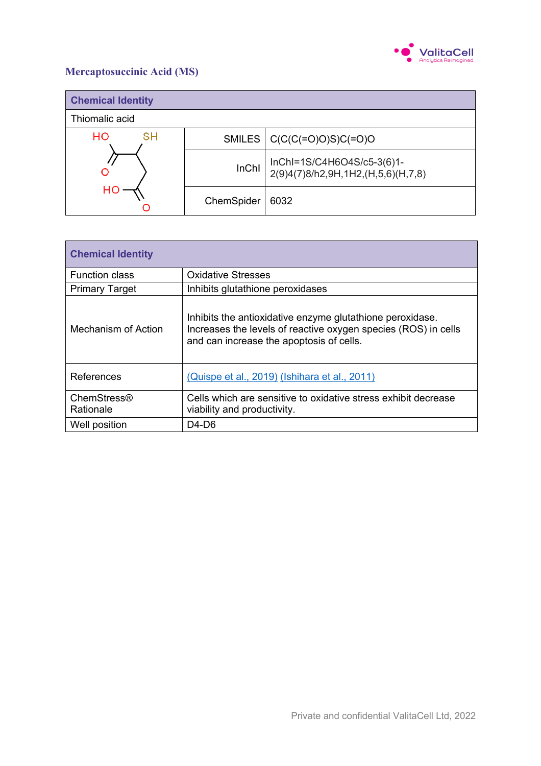

# **Mercaptosuccinic Acid (MS)**

| <b>Chemical Identity</b> |               |                                                                  |
|--------------------------|---------------|------------------------------------------------------------------|
| Thiomalic acid           |               |                                                                  |
| HO<br>sн                 | <b>SMILES</b> | $  C(C(C(=O)O)S)C(=O)O  $                                        |
|                          | <b>InChI</b>  | InChI=1S/C4H6O4S/c5-3(6)1-<br>2(9)4(7)8/h2,9H,1H2,(H,5,6)(H,7,8) |
| нс                       | ChemSpider    | 6032                                                             |

| <b>Chemical Identity</b> |                                                                                                                                                                         |
|--------------------------|-------------------------------------------------------------------------------------------------------------------------------------------------------------------------|
| <b>Function class</b>    | <b>Oxidative Stresses</b>                                                                                                                                               |
| <b>Primary Target</b>    | Inhibits glutathione peroxidases                                                                                                                                        |
| Mechanism of Action      | Inhibits the antioxidative enzyme glutathione peroxidase.<br>Increases the levels of reactive oxygen species (ROS) in cells<br>and can increase the apoptosis of cells. |
| References               | (Quispe et al., 2019) (Ishihara et al., 2011)                                                                                                                           |
| ChemStress®<br>Rationale | Cells which are sensitive to oxidative stress exhibit decrease<br>viability and productivity.                                                                           |
| Well position            | $D4-D6$                                                                                                                                                                 |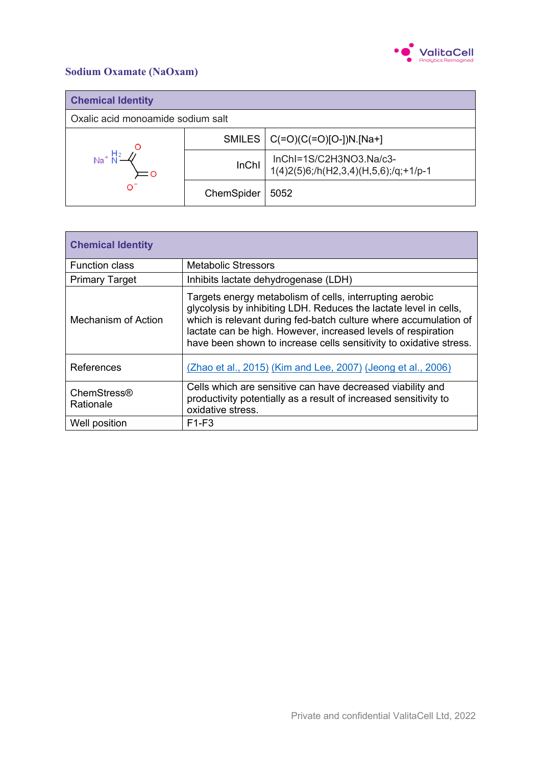

### **Sodium Oxamate (NaOxam)**

| <b>Chemical Identity</b>          |              |                                                                     |
|-----------------------------------|--------------|---------------------------------------------------------------------|
| Oxalic acid monoamide sodium salt |              |                                                                     |
| ∩⊺                                |              | SMILES $ C(=O)(C(=O)[O-])N.[Na+]$                                   |
|                                   | <b>InChI</b> | InChI=1S/C2H3NO3.Na/c3-<br>$1(4)2(5)6$ ;/h(H2,3,4)(H,5,6);/q;+1/p-1 |
|                                   | ChemSpider   | 5052                                                                |

| <b>Chemical Identity</b> |                                                                                                                                                                                                                                                                                                                                          |
|--------------------------|------------------------------------------------------------------------------------------------------------------------------------------------------------------------------------------------------------------------------------------------------------------------------------------------------------------------------------------|
| <b>Function class</b>    | <b>Metabolic Stressors</b>                                                                                                                                                                                                                                                                                                               |
| <b>Primary Target</b>    | Inhibits lactate dehydrogenase (LDH)                                                                                                                                                                                                                                                                                                     |
| Mechanism of Action      | Targets energy metabolism of cells, interrupting aerobic<br>glycolysis by inhibiting LDH. Reduces the lactate level in cells,<br>which is relevant during fed-batch culture where accumulation of<br>lactate can be high. However, increased levels of respiration<br>have been shown to increase cells sensitivity to oxidative stress. |
| References               | (Zhao et al., 2015) (Kim and Lee, 2007) (Jeong et al., 2006)                                                                                                                                                                                                                                                                             |
| ChemStress®<br>Rationale | Cells which are sensitive can have decreased viability and<br>productivity potentially as a result of increased sensitivity to<br>oxidative stress.                                                                                                                                                                                      |
| Well position            | $F1-F3$                                                                                                                                                                                                                                                                                                                                  |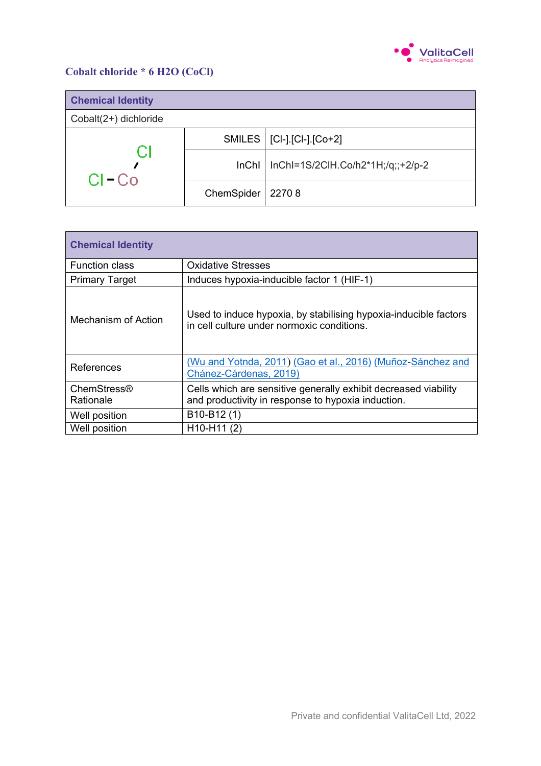

### **Cobalt chloride \* 6 H2O (CoCl)**

| <b>Chemical Identity</b> |            |                                             |
|--------------------------|------------|---------------------------------------------|
| Cobalt(2+) dichloride    |            |                                             |
| CI<br>$Cl - Co$          |            | SMILES   [CI-].[CI-].[Co+2]                 |
|                          |            | $InChI$   InChI=1S/2CIH.Co/h2*1H;/q;;+2/p-2 |
|                          | ChemSpider | 22708                                       |

| <b>Chemical Identity</b> |                                                                                                                       |
|--------------------------|-----------------------------------------------------------------------------------------------------------------------|
| <b>Function class</b>    | <b>Oxidative Stresses</b>                                                                                             |
| <b>Primary Target</b>    | Induces hypoxia-inducible factor 1 (HIF-1)                                                                            |
| Mechanism of Action      | Used to induce hypoxia, by stabilising hypoxia-inducible factors<br>in cell culture under normoxic conditions.        |
| References               | (Wu and Yotnda, 2011) (Gao et al., 2016) (Muñoz-Sánchez and<br>Chánez-Cárdenas, 2019)                                 |
| ChemStress®<br>Rationale | Cells which are sensitive generally exhibit decreased viability<br>and productivity in response to hypoxia induction. |
| Well position            | B10-B12(1)                                                                                                            |
| Well position            | H10-H11 (2)                                                                                                           |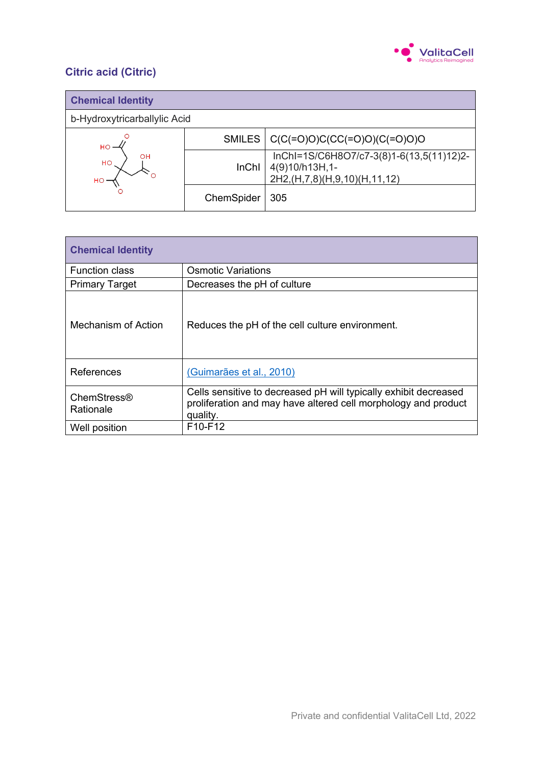

# **Citric acid (Citric)**

| <b>Chemical Identity</b>     |              |                                                                                                     |
|------------------------------|--------------|-----------------------------------------------------------------------------------------------------|
| b-Hydroxytricarballylic Acid |              |                                                                                                     |
| <b>HO</b><br>OH<br>HO<br>но  | SMILES       | $  C(C(=O)O)C(CC(=O)O)(C(=O)O)O$                                                                    |
|                              | <b>InChI</b> | InChI=1S/C6H8O7/c7-3(8)1-6(13,5(11)12)2-<br>4(9)10/h13H,1-<br>2H2, (H, 7, 8) (H, 9, 10) (H, 11, 12) |
|                              | ChemSpider   | 305                                                                                                 |

| <b>Chemical Identity</b> |                                                                                                                                                |  |
|--------------------------|------------------------------------------------------------------------------------------------------------------------------------------------|--|
| <b>Function class</b>    | <b>Osmotic Variations</b>                                                                                                                      |  |
| <b>Primary Target</b>    | Decreases the pH of culture                                                                                                                    |  |
| Mechanism of Action      | Reduces the pH of the cell culture environment.                                                                                                |  |
| References               | (Guimarães et al., 2010)                                                                                                                       |  |
| ChemStress®<br>Rationale | Cells sensitive to decreased pH will typically exhibit decreased<br>proliferation and may have altered cell morphology and product<br>quality. |  |
| Well position            | F <sub>10-F<sub>12</sub></sub>                                                                                                                 |  |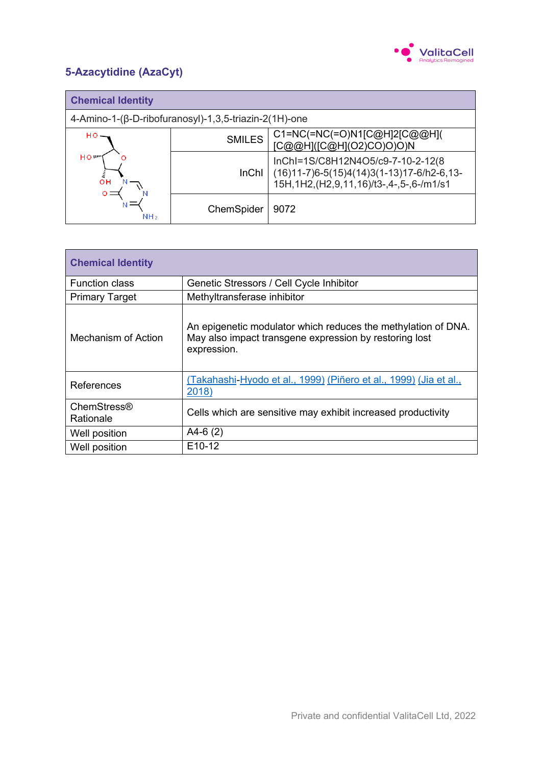

# **5-Azacytidine (AzaCyt)**

| <b>Chemical Identity</b>                              |               |                                                                                                                           |
|-------------------------------------------------------|---------------|---------------------------------------------------------------------------------------------------------------------------|
| 4-Amino-1-(β-D-ribofuranosyl)-1,3,5-triazin-2(1H)-one |               |                                                                                                                           |
| но-<br>HO <sup>w</sup><br>ΟH<br>NH <sub>2</sub>       | <b>SMILES</b> | C1=NC(=NC(=O)N1[C@H]2[C@@H](<br>[C@@H]([C@H](O2)CO)O)O)N                                                                  |
|                                                       | <b>InChI</b>  | InChI=1S/C8H12N4O5/c9-7-10-2-12(8<br>(16)11-7)6-5(15)4(14)3(1-13)17-6/h2-6,13-<br>15H,1H2,(H2,9,11,16)/t3-,4-,5-,6-/m1/s1 |
|                                                       | ChemSpider    | 9072                                                                                                                      |

| <b>Chemical Identity</b>        |                                                                                                                                        |
|---------------------------------|----------------------------------------------------------------------------------------------------------------------------------------|
| <b>Function class</b>           | Genetic Stressors / Cell Cycle Inhibitor                                                                                               |
| <b>Primary Target</b>           | Methyltransferase inhibitor                                                                                                            |
| Mechanism of Action             | An epigenetic modulator which reduces the methylation of DNA.<br>May also impact transgene expression by restoring lost<br>expression. |
| References                      | (Takahashi-Hyodo et al., 1999) (Piñero et al., 1999) (Jia et al.,<br>2018)                                                             |
| <b>ChemStress®</b><br>Rationale | Cells which are sensitive may exhibit increased productivity                                                                           |
| Well position                   | $A4-6(2)$                                                                                                                              |
| Well position                   | E <sub>10</sub> -12                                                                                                                    |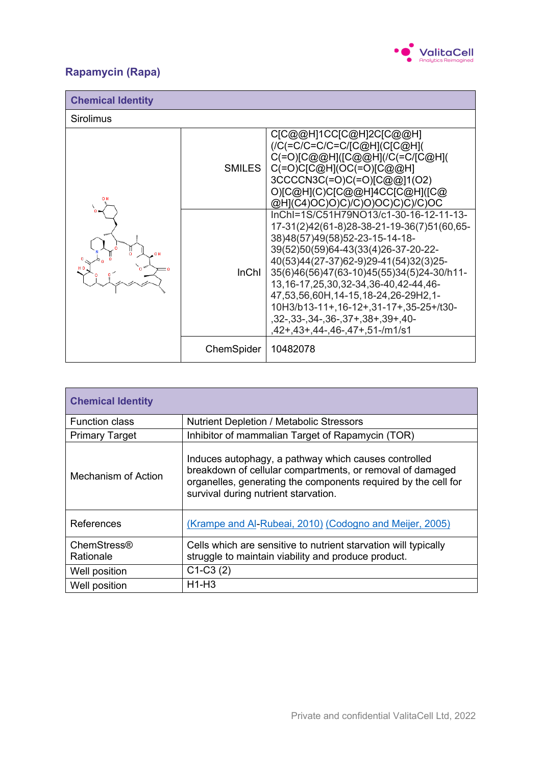

# **Rapamycin (Rapa)**

| <b>Chemical Identity</b> |            |                                                                                                                                                                                                                                                                                                                                                                                                                                                                |
|--------------------------|------------|----------------------------------------------------------------------------------------------------------------------------------------------------------------------------------------------------------------------------------------------------------------------------------------------------------------------------------------------------------------------------------------------------------------------------------------------------------------|
| <b>Sirolimus</b>         |            |                                                                                                                                                                                                                                                                                                                                                                                                                                                                |
|                          | SMILES     | C[C@@H]1CC[C@H]2C[C@@H]<br>(/C(=C/C=C/C=C/[C@H](C[C@H](<br>C(=O)[C@@H]([C@@H](/C(=C/[C@H](<br>$C(=O)C[COH](OC(=O)[C@OH]$<br>3CCCCN3C(=O)C(=O)[C@@]1(O2)<br>O)[C@H](C)C[C@@H]4CC[C@H]([C@<br>@H](C4)OC)O)C)/C)O)OC)C)C)/C)OC                                                                                                                                                                                                                                    |
|                          | InChI      | InChI=1S/C51H79NO13/c1-30-16-12-11-13-<br>17-31(2)42(61-8)28-38-21-19-36(7)51(60,65-<br>38)48(57)49(58)52-23-15-14-18-<br>39(52)50(59)64-43(33(4)26-37-20-22-<br>40(53)44(27-37)62-9)29-41(54)32(3)25-<br>35(6)46(56)47(63-10)45(55)34(5)24-30/h11-<br>13, 16-17, 25, 30, 32-34, 36-40, 42-44, 46-<br>47,53,56,60H,14-15,18-24,26-29H2,1-<br>10H3/b13-11+, 16-12+, 31-17+, 35-25+/t30-<br>$,32-,33-,34-,36-,37+,38+,39+,40-$<br>,42+,43+,44-,46-,47+,51-/m1/s1 |
|                          | ChemSpider | 10482078                                                                                                                                                                                                                                                                                                                                                                                                                                                       |

| <b>Chemical Identity</b> |                                                                                                                                                                                                                             |
|--------------------------|-----------------------------------------------------------------------------------------------------------------------------------------------------------------------------------------------------------------------------|
| <b>Function class</b>    | <b>Nutrient Depletion / Metabolic Stressors</b>                                                                                                                                                                             |
| <b>Primary Target</b>    | Inhibitor of mammalian Target of Rapamycin (TOR)                                                                                                                                                                            |
| Mechanism of Action      | Induces autophagy, a pathway which causes controlled<br>breakdown of cellular compartments, or removal of damaged<br>organelles, generating the components required by the cell for<br>survival during nutrient starvation. |
| References               | (Krampe and Al-Rubeai, 2010) (Codogno and Meijer, 2005)                                                                                                                                                                     |
| ChemStress®<br>Rationale | Cells which are sensitive to nutrient starvation will typically<br>struggle to maintain viability and produce product.                                                                                                      |
| Well position            | $C1-C3(2)$                                                                                                                                                                                                                  |
| Well position            | $H1-H3$                                                                                                                                                                                                                     |